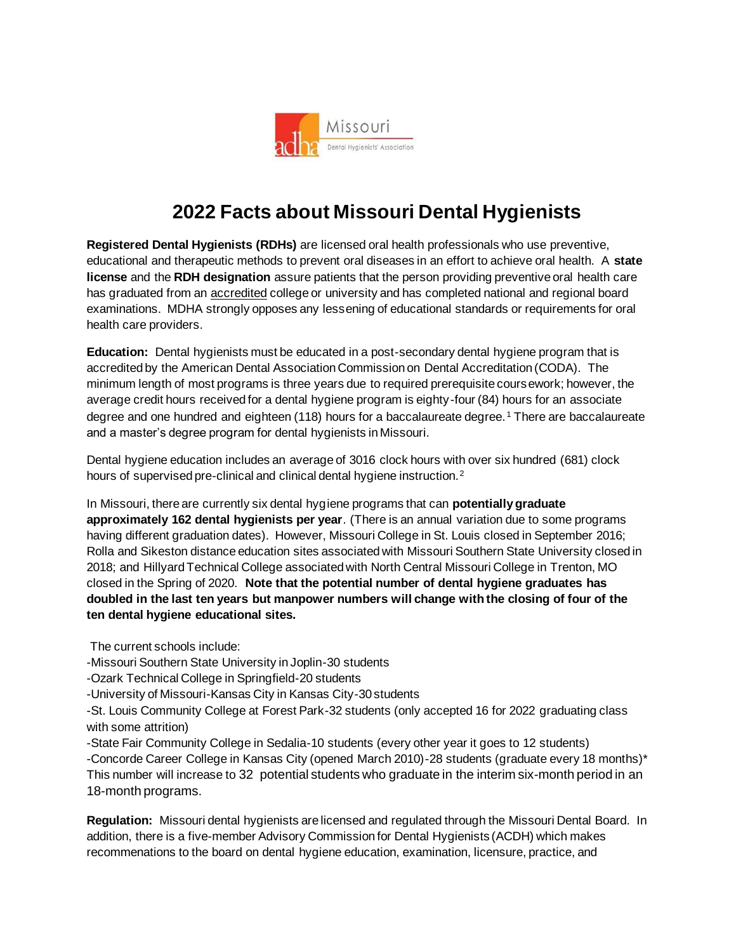

## **2022 Facts about Missouri Dental Hygienists**

**Registered Dental Hygienists (RDHs)** are licensed oral health professionals who use preventive, educational and therapeutic methods to prevent oral diseases in an effort to achieve oral health. A **state license** and the **RDH designation** assure patients that the person providing preventive oral health care has graduated from an accredited college or university and has completed national and regional board examinations. MDHA strongly opposes any lessening of educational standards or requirements for oral health care providers.

**Education:** Dental hygienists must be educated in a post-secondary dental hygiene program that is accredited by the American Dental Association Commission on Dental Accreditation (CODA). The minimum length of most programs is three years due to required prerequisite coursework; however, the average credit hours received for a dental hygiene program is eighty-four (84) hours for an associate degree and one hundred and eighteen (118) hours for a baccalaureate degree.<sup>1</sup> There are baccalaureate and a master's degree program for dental hygienists in Missouri.

Dental hygiene education includes an average of 3016 clock hours with over six hundred (681) clock hours of supervised pre-clinical and clinical dental hygiene instruction.<sup>2</sup>

In Missouri, there are currently six dental hygiene programs that can **potentially graduate approximately 162 dental hygienists per year**. (There is an annual variation due to some programs having different graduation dates). However, Missouri College in St. Louis closed in September 2016; Rolla and Sikeston distance education sites associated with Missouri Southern State University closed in 2018; and Hillyard Technical College associated with North Central Missouri College in Trenton, MO closed in the Spring of 2020. **Note that the potential number of dental hygiene graduates has doubled in the last ten years but manpower numbers will change with the closing of four of the ten dental hygiene educational sites.** 

The current schools include:

-Missouri Southern State University in Joplin-30 students

-Ozark Technical College in Springfield-20 students

-University of Missouri-Kansas City in Kansas City-30 students

-St. Louis Community College at Forest Park-32 students (only accepted 16 for 2022 graduating class with some attrition)

-State Fair Community College in Sedalia-10 students (every other year it goes to 12 students) -Concorde Career College in Kansas City (opened March 2010)-28 students (graduate every 18 months)\* This number will increase to 32 potential students who graduate in the interim six-month period in an 18-month programs.

**Regulation:** Missouri dental hygienists are licensed and regulated through the Missouri Dental Board. In addition, there is a five-member Advisory Commission for Dental Hygienists (ACDH) which makes recommenations to the board on dental hygiene education, examination, licensure, practice, and